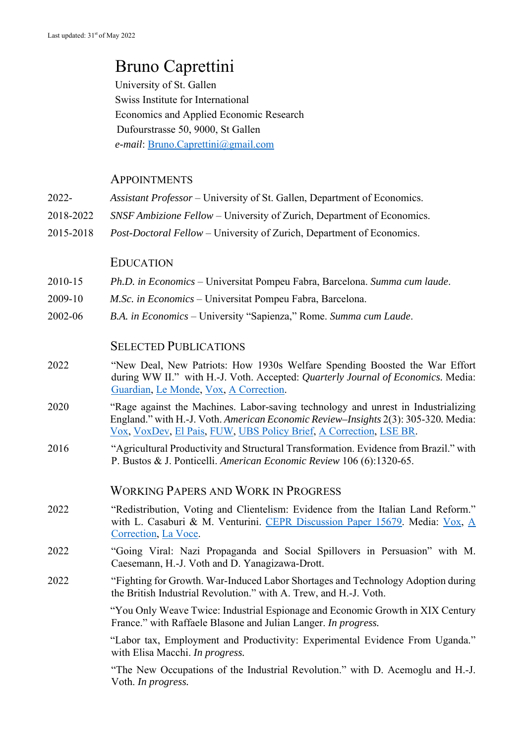# Bruno Caprettini

 University of St. Gallen Swiss Institute for International Economics and Applied Economic Research Dufourstrasse 50, 9000, St Gallen *e-mail*: Bruno.Caprettini@gmail.com

#### **APPOINTMENTS**

- 2022- *Assistant Professor*  University of St. Gallen, Department of Economics.
- 2018-2022 *SNSF Ambizione Fellow* University of Zurich, Department of Economics.
- 2015-2018 *Post-Doctoral Fellow* University of Zurich, Department of Economics.

#### EDUCATION

- 2010-15 *Ph.D. in Economics* Universitat Pompeu Fabra, Barcelona. *Summa cum laude*.
- 2009-10 *M.Sc. in Economics*  Universitat Pompeu Fabra, Barcelona.
- 2002-06 *B.A. in Economics* University "Sapienza," Rome. *Summa cum Laude*.

#### SELECTED PUBLICATIONS

- 2022 "New Deal, New Patriots: How 1930s Welfare Spending Boosted the War Effort during WW II." with H.-J. Voth. Accepted: *Quarterly Journal of Economics.* Media: Guardian, Le Monde, Vox, A Correction.
- 2020 "Rage against the Machines. Labor-saving technology and unrest in Industrializing England." with H.-J. Voth. *American Economic Review–Insights* 2(3): 305-320*.* Media: Vox, VoxDev, El Pais, FUW, UBS Policy Brief, A Correction, LSE BR.
- 2016 "Agricultural Productivity and Structural Transformation. Evidence from Brazil." with P. Bustos & J. Ponticelli. *American Economic Review* 106 (6):1320-65.

#### WORKING PAPERS AND WORK IN PROGRESS

- 2022 "Redistribution, Voting and Clientelism: Evidence from the Italian Land Reform." with L. Casaburi & M. Venturini. CEPR Discussion Paper 15679. Media: Vox, A Correction, La Voce.
- 2022 "Going Viral: Nazi Propaganda and Social Spillovers in Persuasion" with M. Caesemann, H.-J. Voth and D. Yanagizawa-Drott.
- 2022 "Fighting for Growth. War-Induced Labor Shortages and Technology Adoption during the British Industrial Revolution." with A. Trew, and H.-J. Voth.

"You Only Weave Twice: Industrial Espionage and Economic Growth in XIX Century France." with Raffaele Blasone and Julian Langer. *In progress.*

"Labor tax, Employment and Productivity: Experimental Evidence From Uganda." with Elisa Macchi. *In progress.* 

 "The New Occupations of the Industrial Revolution." with D. Acemoglu and H.-J. Voth. *In progress.*